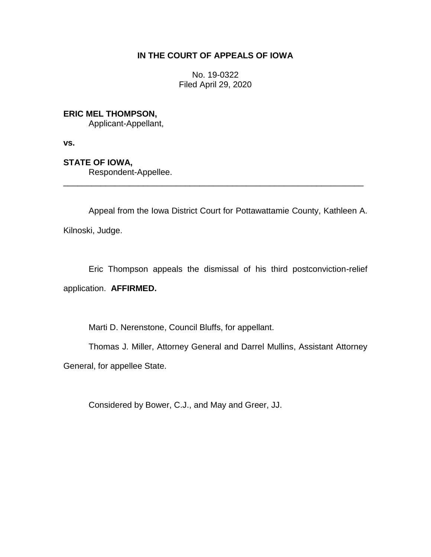# **IN THE COURT OF APPEALS OF IOWA**

No. 19-0322 Filed April 29, 2020

**ERIC MEL THOMPSON,**

Applicant-Appellant,

**vs.**

**STATE OF IOWA,**

Respondent-Appellee.

Appeal from the Iowa District Court for Pottawattamie County, Kathleen A. Kilnoski, Judge.

\_\_\_\_\_\_\_\_\_\_\_\_\_\_\_\_\_\_\_\_\_\_\_\_\_\_\_\_\_\_\_\_\_\_\_\_\_\_\_\_\_\_\_\_\_\_\_\_\_\_\_\_\_\_\_\_\_\_\_\_\_\_\_\_

Eric Thompson appeals the dismissal of his third postconviction-relief application. **AFFIRMED.**

Marti D. Nerenstone, Council Bluffs, for appellant.

Thomas J. Miller, Attorney General and Darrel Mullins, Assistant Attorney

General, for appellee State.

Considered by Bower, C.J., and May and Greer, JJ.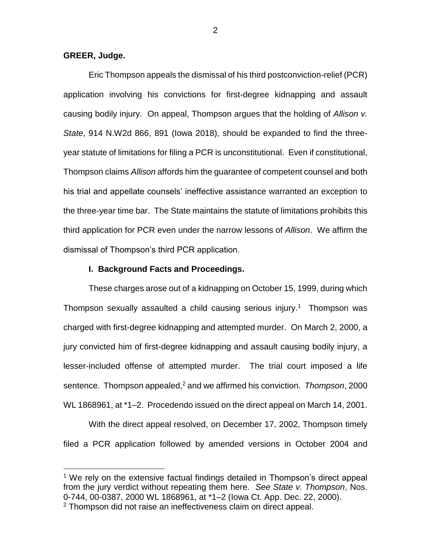## **GREER, Judge.**

 $\overline{a}$ 

Eric Thompson appeals the dismissal of his third postconviction-relief (PCR) application involving his convictions for first-degree kidnapping and assault causing bodily injury. On appeal, Thompson argues that the holding of *Allison v. State*, 914 N.W2d 866, 891 (Iowa 2018), should be expanded to find the threeyear statute of limitations for filing a PCR is unconstitutional. Even if constitutional, Thompson claims *Allison* affords him the guarantee of competent counsel and both his trial and appellate counsels' ineffective assistance warranted an exception to the three-year time bar. The State maintains the statute of limitations prohibits this third application for PCR even under the narrow lessons of *Allison*. We affirm the dismissal of Thompson's third PCR application.

## **I. Background Facts and Proceedings.**

These charges arose out of a kidnapping on October 15, 1999, during which Thompson sexually assaulted a child causing serious injury.<sup>1</sup> Thompson was charged with first-degree kidnapping and attempted murder. On March 2, 2000, a jury convicted him of first-degree kidnapping and assault causing bodily injury, a lesser-included offense of attempted murder. The trial court imposed a life sentence. Thompson appealed,<sup>2</sup> and we affirmed his conviction. *Thompson*, 2000 WL 1868961, at \*1–2. Procedendo issued on the direct appeal on March 14, 2001.

With the direct appeal resolved, on December 17, 2002, Thompson timely filed a PCR application followed by amended versions in October 2004 and

<sup>&</sup>lt;sup>1</sup> We rely on the extensive factual findings detailed in Thompson's direct appeal from the jury verdict without repeating them here. *See State v. Thompson*, Nos. 0-744, 00-0387, 2000 WL 1868961, at \*1–2 (Iowa Ct. App. Dec. 22, 2000). <sup>2</sup> Thompson did not raise an ineffectiveness claim on direct appeal.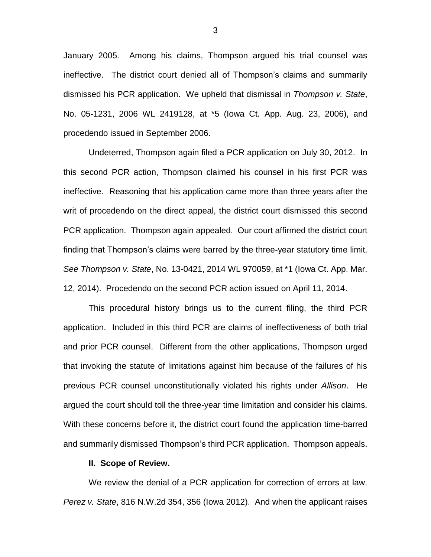January 2005. Among his claims, Thompson argued his trial counsel was ineffective. The district court denied all of Thompson's claims and summarily dismissed his PCR application. We upheld that dismissal in *Thompson v. State*, No. 05-1231, 2006 WL 2419128, at \*5 (Iowa Ct. App. Aug. 23, 2006), and procedendo issued in September 2006.

Undeterred, Thompson again filed a PCR application on July 30, 2012. In this second PCR action, Thompson claimed his counsel in his first PCR was ineffective. Reasoning that his application came more than three years after the writ of procedendo on the direct appeal, the district court dismissed this second PCR application. Thompson again appealed. Our court affirmed the district court finding that Thompson's claims were barred by the three-year statutory time limit. *See Thompson v. State*, No. 13-0421, 2014 WL 970059, at \*1 (Iowa Ct. App. Mar. 12, 2014). Procedendo on the second PCR action issued on April 11, 2014.

This procedural history brings us to the current filing, the third PCR application. Included in this third PCR are claims of ineffectiveness of both trial and prior PCR counsel. Different from the other applications, Thompson urged that invoking the statute of limitations against him because of the failures of his previous PCR counsel unconstitutionally violated his rights under *Allison*. He argued the court should toll the three-year time limitation and consider his claims. With these concerns before it, the district court found the application time-barred and summarily dismissed Thompson's third PCR application. Thompson appeals.

#### **II. Scope of Review.**

We review the denial of a PCR application for correction of errors at law. *Perez v. State*, 816 N.W.2d 354, 356 (Iowa 2012). And when the applicant raises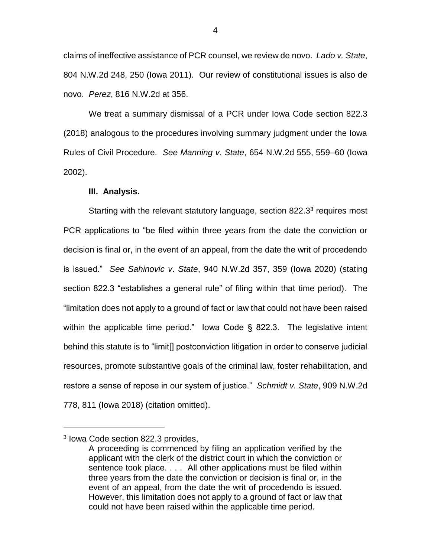claims of ineffective assistance of PCR counsel, we review de novo. *Lado v. State*, 804 N.W.2d 248, 250 (Iowa 2011). Our review of constitutional issues is also de novo. *Perez*, 816 N.W.2d at 356.

We treat a summary dismissal of a PCR under Iowa Code section 822.3 (2018) analogous to the procedures involving summary judgment under the Iowa Rules of Civil Procedure. *See Manning v. State*, 654 N.W.2d 555, 559–60 (Iowa 2002).

#### **III. Analysis.**

Starting with the relevant statutory language, section 822.3 $3$  requires most PCR applications to "be filed within three years from the date the conviction or decision is final or, in the event of an appeal, from the date the writ of procedendo is issued." *See Sahinovic v*. *State*, 940 N.W.2d 357, 359 (Iowa 2020) (stating section 822.3 "establishes a general rule" of filing within that time period). The "limitation does not apply to a ground of fact or law that could not have been raised within the applicable time period." Iowa Code § 822.3. The legislative intent behind this statute is to "limit[] postconviction litigation in order to conserve judicial resources, promote substantive goals of the criminal law, foster rehabilitation, and restore a sense of repose in our system of justice." *Schmidt v. State*, 909 N.W.2d 778, 811 (Iowa 2018) (citation omitted).

 $\overline{a}$ 

<sup>3</sup> Iowa Code section 822.3 provides,

A proceeding is commenced by filing an application verified by the applicant with the clerk of the district court in which the conviction or sentence took place. . . . All other applications must be filed within three years from the date the conviction or decision is final or, in the event of an appeal, from the date the writ of procedendo is issued. However, this limitation does not apply to a ground of fact or law that could not have been raised within the applicable time period.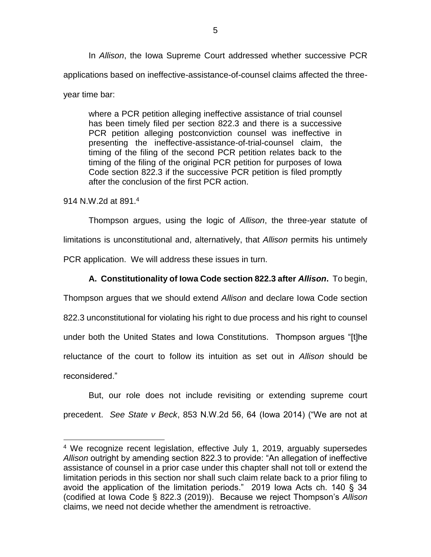In *Allison*, the Iowa Supreme Court addressed whether successive PCR applications based on ineffective-assistance-of-counsel claims affected the three-

where a PCR petition alleging ineffective assistance of trial counsel has been timely filed per section 822.3 and there is a successive PCR petition alleging postconviction counsel was ineffective in presenting the ineffective-assistance-of-trial-counsel claim, the timing of the filing of the second PCR petition relates back to the timing of the filing of the original PCR petition for purposes of Iowa Code section 822.3 if the successive PCR petition is filed promptly

after the conclusion of the first PCR action.

914 N.W.2d at 891.<sup>4</sup>

 $\overline{a}$ 

year time bar:

Thompson argues, using the logic of *Allison*, the three-year statute of limitations is unconstitutional and, alternatively, that *Allison* permits his untimely PCR application. We will address these issues in turn.

## **A. Constitutionality of Iowa Code section 822.3 after** *Allison***.** To begin,

Thompson argues that we should extend *Allison* and declare Iowa Code section 822.3 unconstitutional for violating his right to due process and his right to counsel under both the United States and Iowa Constitutions. Thompson argues "[t]he reluctance of the court to follow its intuition as set out in *Allison* should be reconsidered."

But, our role does not include revisiting or extending supreme court precedent. *See State v Beck*, 853 N.W.2d 56, 64 (Iowa 2014) ("We are not at

<sup>&</sup>lt;sup>4</sup> We recognize recent legislation, effective July 1, 2019, arguably supersedes *Allison* outright by amending section 822.3 to provide: "An allegation of ineffective assistance of counsel in a prior case under this chapter shall not toll or extend the limitation periods in this section nor shall such claim relate back to a prior filing to avoid the application of the limitation periods." 2019 Iowa Acts ch. 140 § 34 (codified at Iowa Code § 822.3 (2019)). Because we reject Thompson's *Allison* claims, we need not decide whether the amendment is retroactive.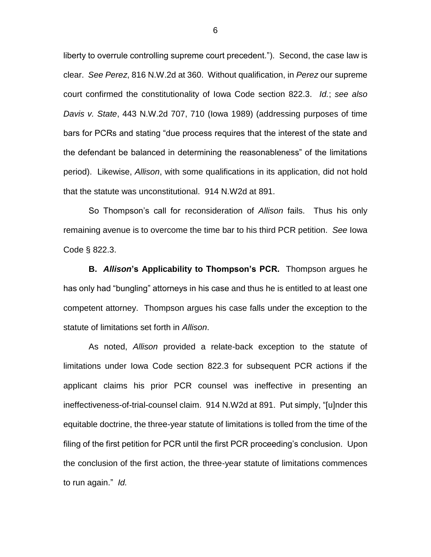liberty to overrule controlling supreme court precedent."). Second, the case law is clear. *See Perez*, 816 N.W.2d at 360. Without qualification, in *Perez* our supreme court confirmed the constitutionality of Iowa Code section 822.3. *Id.*; *see also Davis v. State*, 443 N.W.2d 707, 710 (Iowa 1989) (addressing purposes of time bars for PCRs and stating "due process requires that the interest of the state and the defendant be balanced in determining the reasonableness" of the limitations period).Likewise, *Allison*, with some qualifications in its application, did not hold that the statute was unconstitutional. 914 N.W2d at 891.

So Thompson's call for reconsideration of *Allison* fails. Thus his only remaining avenue is to overcome the time bar to his third PCR petition. *See* Iowa Code § 822.3.

**B.** *Allison***'s Applicability to Thompson's PCR.** Thompson argues he has only had "bungling" attorneys in his case and thus he is entitled to at least one competent attorney. Thompson argues his case falls under the exception to the statute of limitations set forth in *Allison*.

As noted, *Allison* provided a relate-back exception to the statute of limitations under Iowa Code section 822.3 for subsequent PCR actions if the applicant claims his prior PCR counsel was ineffective in presenting an ineffectiveness-of-trial-counsel claim. 914 N.W2d at 891. Put simply, "[u]nder this equitable doctrine, the three-year statute of limitations is tolled from the time of the filing of the first petition for PCR until the first PCR proceeding's conclusion. Upon the conclusion of the first action, the three-year statute of limitations commences to run again." *Id.*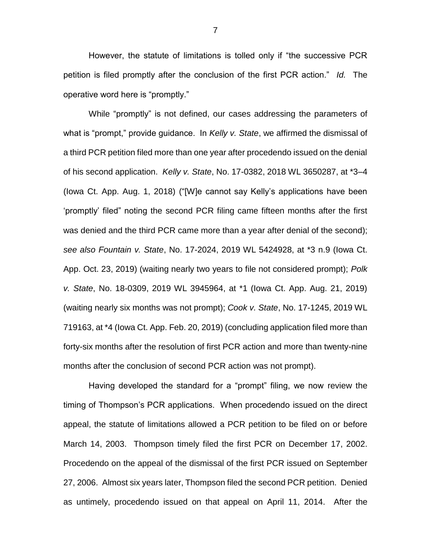However, the statute of limitations is tolled only if "the successive PCR petition is filed promptly after the conclusion of the first PCR action." *Id.* The operative word here is "promptly."

While "promptly" is not defined, our cases addressing the parameters of what is "prompt," provide guidance. In *Kelly v. State*, we affirmed the dismissal of a third PCR petition filed more than one year after procedendo issued on the denial of his second application. *Kelly v. State*, No. 17-0382, 2018 WL 3650287, at \*3–4 (Iowa Ct. App. Aug. 1, 2018) ("[W]e cannot say Kelly's applications have been 'promptly' filed" noting the second PCR filing came fifteen months after the first was denied and the third PCR came more than a year after denial of the second); *see also Fountain v. State*, No. 17-2024, 2019 WL 5424928, at \*3 n.9 (Iowa Ct. App. Oct. 23, 2019) (waiting nearly two years to file not considered prompt); *Polk v. State*, No. 18-0309, 2019 WL 3945964, at \*1 (Iowa Ct. App. Aug. 21, 2019) (waiting nearly six months was not prompt); *Cook v. State*, No. 17-1245, 2019 WL 719163, at \*4 (Iowa Ct. App. Feb. 20, 2019) (concluding application filed more than forty-six months after the resolution of first PCR action and more than twenty-nine months after the conclusion of second PCR action was not prompt).

Having developed the standard for a "prompt" filing, we now review the timing of Thompson's PCR applications. When procedendo issued on the direct appeal, the statute of limitations allowed a PCR petition to be filed on or before March 14, 2003. Thompson timely filed the first PCR on December 17, 2002. Procedendo on the appeal of the dismissal of the first PCR issued on September 27, 2006. Almost six years later, Thompson filed the second PCR petition. Denied as untimely, procedendo issued on that appeal on April 11, 2014. After the